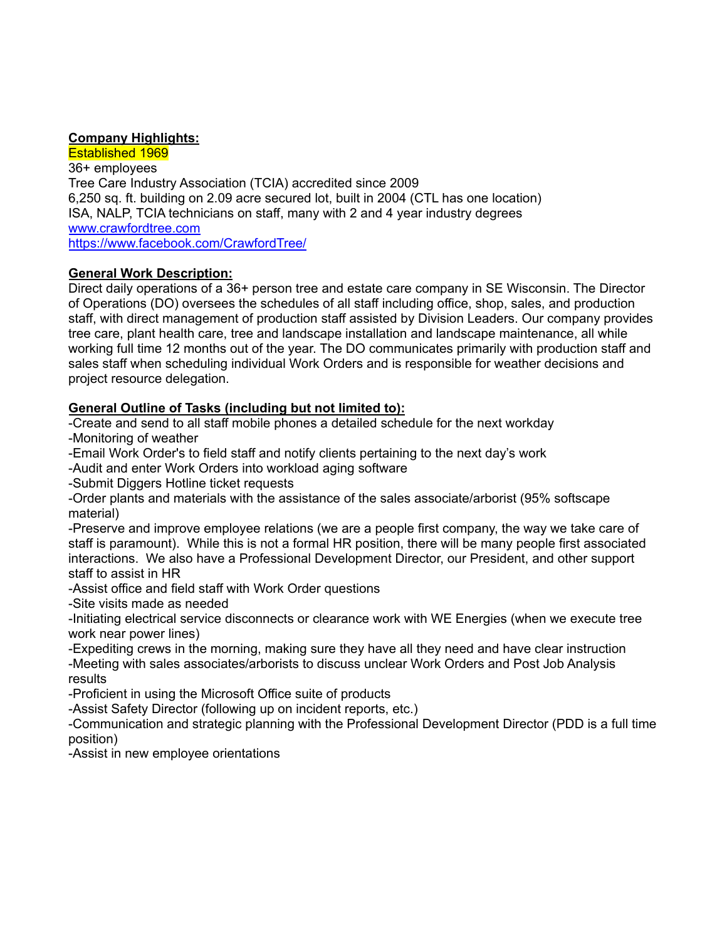# **Company Highlights:**

Established 1969 36+ employees Tree Care Industry Association (TCIA) accredited since 2009 6,250 sq. ft. building on 2.09 acre secured lot, built in 2004 (CTL has one location) ISA, NALP, TCIA technicians on staff, many with 2 and 4 year industry degrees [www.crawfordtree.com](http://www.crawfordtree.com) <https://www.facebook.com/CrawfordTree/>

# **General Work Description:**

Direct daily operations of a 36+ person tree and estate care company in SE Wisconsin. The Director of Operations (DO) oversees the schedules of all staff including office, shop, sales, and production staff, with direct management of production staff assisted by Division Leaders. Our company provides tree care, plant health care, tree and landscape installation and landscape maintenance, all while working full time 12 months out of the year. The DO communicates primarily with production staff and sales staff when scheduling individual Work Orders and is responsible for weather decisions and project resource delegation.

# **General Outline of Tasks (including but not limited to):**

-Create and send to all staff mobile phones a detailed schedule for the next workday -Monitoring of weather

-Email Work Order's to field staff and notify clients pertaining to the next day's work

-Audit and enter Work Orders into workload aging software

-Submit Diggers Hotline ticket requests

-Order plants and materials with the assistance of the sales associate/arborist (95% softscape material)

-Preserve and improve employee relations (we are a people first company, the way we take care of staff is paramount). While this is not a formal HR position, there will be many people first associated interactions. We also have a Professional Development Director, our President, and other support staff to assist in HR

-Assist office and field staff with Work Order questions

-Site visits made as needed

-Initiating electrical service disconnects or clearance work with WE Energies (when we execute tree work near power lines)

-Expediting crews in the morning, making sure they have all they need and have clear instruction -Meeting with sales associates/arborists to discuss unclear Work Orders and Post Job Analysis results

-Proficient in using the Microsoft Office suite of products

-Assist Safety Director (following up on incident reports, etc.)

-Communication and strategic planning with the Professional Development Director (PDD is a full time position)

-Assist in new employee orientations